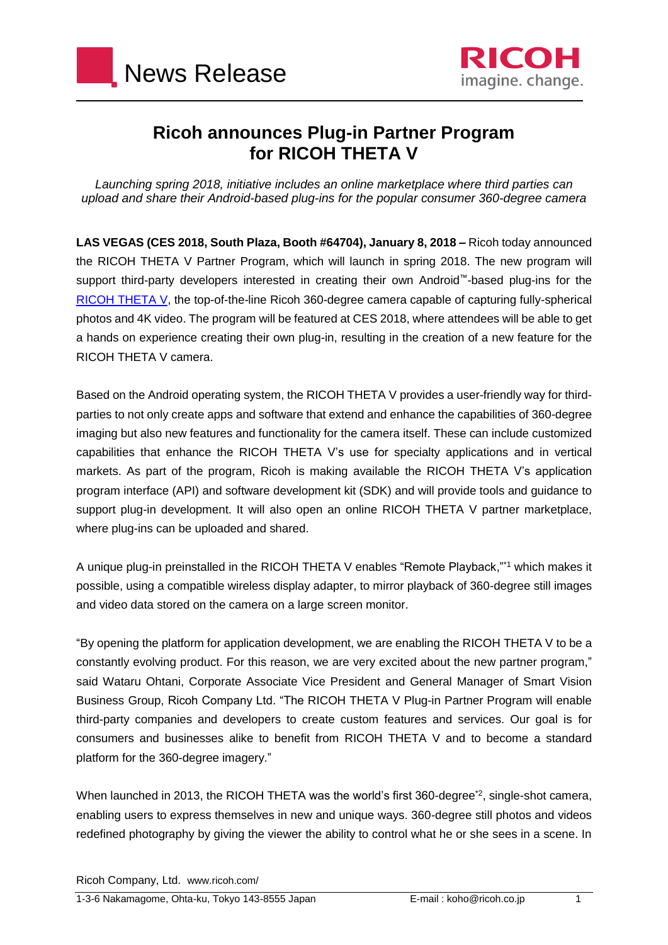



## **Ricoh announces Plug-in Partner Program for RICOH THETA V**

*Launching spring 2018, initiative includes an online marketplace where third parties can upload and share their Android-based plug-ins for the popular consumer 360-degree camera*

**LAS VEGAS (CES 2018, South Plaza, Booth #64704), January 8, 2018 –** Ricoh today announced the RICOH THETA V Partner Program, which will launch in spring 2018. The new program will support third-party developers interested in creating their own Android™-based plug-ins for the RICOH [THETA](http://theta360.com/en/about/theta/v.html) V, the top-of-the-line Ricoh 360-degree camera capable of capturing fully-spherical photos and 4K video. The program will be featured at CES 2018, where attendees will be able to get a hands on experience creating their own plug-in, resulting in the creation of a new feature for the RICOH THETA V camera.

Based on the Android operating system, the RICOH THETA V provides a user-friendly way for thirdparties to not only create apps and software that extend and enhance the capabilities of 360-degree imaging but also new features and functionality for the camera itself. These can include customized capabilities that enhance the RICOH THETA V's use for specialty applications and in vertical markets. As part of the program, Ricoh is making available the RICOH THETA V's application program interface (API) and software development kit (SDK) and will provide tools and guidance to support plug-in development. It will also open an online RICOH THETA V partner marketplace, where plug-ins can be uploaded and shared.

A unique plug-in preinstalled in the RICOH THETA V enables "Remote Playback,"\*1 which makes it possible, using a compatible wireless display adapter, to mirror playback of 360-degree still images and video data stored on the camera on a large screen monitor.

"By opening the platform for application development, we are enabling the RICOH THETA V to be a constantly evolving product. For this reason, we are very excited about the new partner program," said Wataru Ohtani, Corporate Associate Vice President and General Manager of Smart Vision Business Group, Ricoh Company Ltd. "The RICOH THETA V Plug-in Partner Program will enable third-party companies and developers to create custom features and services. Our goal is for consumers and businesses alike to benefit from RICOH THETA V and to become a standard platform for the 360-degree imagery."

When launched in 2013, the RICOH THETA was the world's first 360-degree<sup>\*2</sup>, single-shot camera, enabling users to express themselves in new and unique ways. 360-degree still photos and videos redefined photography by giving the viewer the ability to control what he or she sees in a scene. In

Ricoh Company, Ltd. www.ricoh.com/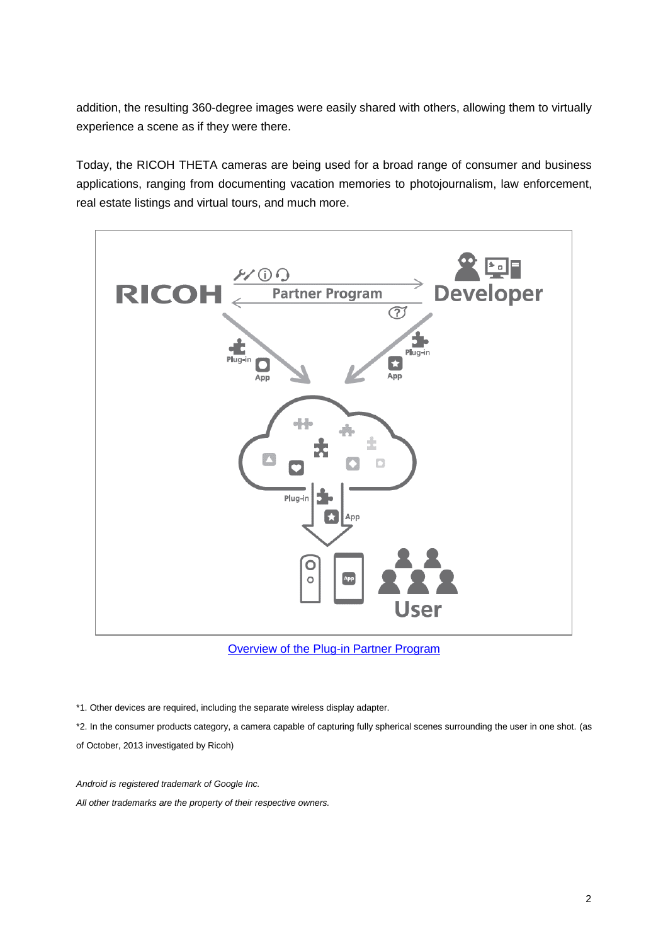addition, the resulting 360-degree images were easily shared with others, allowing them to virtually experience a scene as if they were there.

Today, the RICOH THETA cameras are being used for a broad range of consumer and business applications, ranging from documenting vacation memories to photojournalism, law enforcement, real estate listings and virtual tours, and much more.



**[Overview of the Plug-in Partner Program](https://theta360.com/en/about/theta/v/roadmap.html)** 

\*1. Other devices are required, including the separate wireless display adapter.

\*2. In the consumer products category, a camera capable of capturing fully spherical scenes surrounding the user in one shot. (as of October, 2013 investigated by Ricoh)

*Android is registered trademark of Google Inc. All other trademarks are the property of their respective owners.*